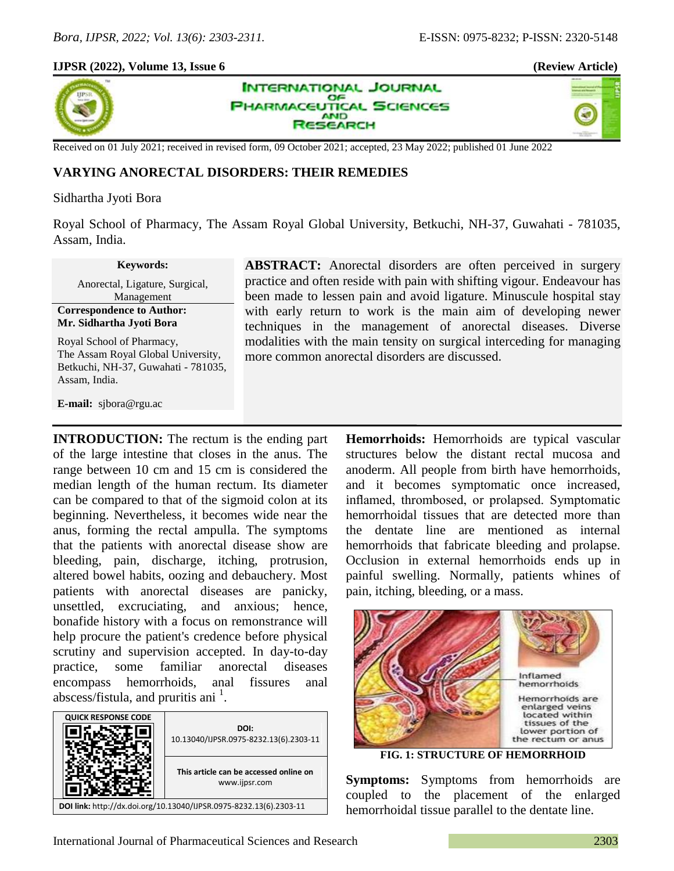×,

## **IJPSR (2022), Volume 13, Issue 6 (Review Article)**



**INTERNATIONAL JOURNAL** OF **PHARMACEUTICAL SCIENCES AND** SEARCH

Received on 01 July 2021; received in revised form, 09 October 2021; accepted, 23 May 2022; published 01 June 2022

## **VARYING ANORECTAL DISORDERS: THEIR REMEDIES**

#### Sidhartha Jyoti Bora

Royal School of Pharmacy, The Assam Royal Global University, Betkuchi, NH-37, Guwahati - 781035, Assam, India.

#### **Keywords:**

Anorectal, Ligature, Surgical, Management

**Correspondence to Author: Mr. Sidhartha Jyoti Bora**

Royal School of Pharmacy, The Assam Royal Global University, Betkuchi, NH-37, Guwahati - 781035, Assam, India.

**E-mail:** sjbora@rgu.ac

**ABSTRACT:** Anorectal disorders are often perceived in surgery practice and often reside with pain with shifting vigour. Endeavour has been made to lessen pain and avoid ligature. Minuscule hospital stay with early return to work is the main aim of developing newer techniques in the management of anorectal diseases. Diverse modalities with the main tensity on surgical interceding for managing more common anorectal disorders are discussed.

**INTRODUCTION:** The rectum is the ending part of the large intestine that closes in the anus. The range between 10 cm and 15 cm is considered the median length of the human rectum. Its diameter can be compared to that of the sigmoid colon at its beginning. Nevertheless, it becomes wide near the anus, forming the rectal ampulla. The symptoms that the patients with anorectal disease show are bleeding, pain, discharge, itching, protrusion, altered bowel habits, oozing and debauchery. Most patients with anorectal diseases are panicky, unsettled, excruciating, and anxious; hence, bonafide history with a focus on remonstrance will help procure the patient's credence before physical scrutiny and supervision accepted. In day-to-day practice, some familiar anorectal diseases encompass hemorrhoids, anal fissures anal abscess/fistula, and pruritis ani<sup>1</sup>.



**Hemorrhoids:** Hemorrhoids are typical vascular structures below the distant rectal mucosa and anoderm. All people from birth have hemorrhoids, and it becomes symptomatic once increased, inflamed, thrombosed, or prolapsed. Symptomatic hemorrhoidal tissues that are detected more than the dentate line are mentioned as internal hemorrhoids that fabricate bleeding and prolapse. Occlusion in external hemorrhoids ends up in painful swelling. Normally, patients whines of pain, itching, bleeding, or a mass.



**FIG. 1: STRUCTURE OF HEMORRHOID**

**Symptoms:** Symptoms from hemorrhoids are coupled to the placement of the enlarged hemorrhoidal tissue parallel to the dentate line.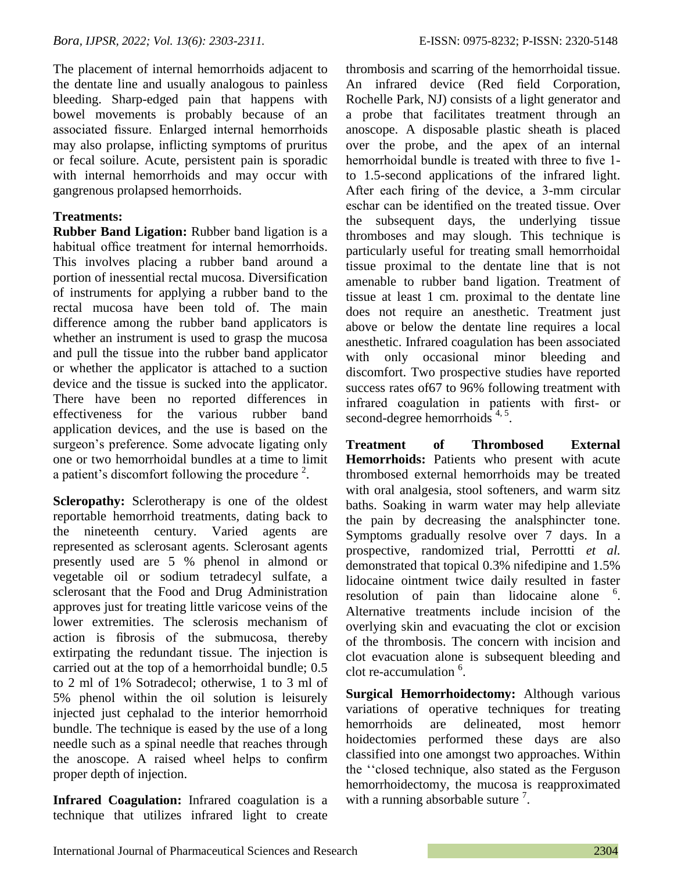The placement of internal hemorrhoids adjacent to the dentate line and usually analogous to painless bleeding. Sharp-edged pain that happens with bowel movements is probably because of an associated fissure. Enlarged internal hemorrhoids may also prolapse, inflicting symptoms of pruritus or fecal soilure. Acute, persistent pain is sporadic with internal hemorrhoids and may occur with gangrenous prolapsed hemorrhoids.

# **Treatments:**

**Rubber Band Ligation:** Rubber band ligation is a habitual office treatment for internal hemorrhoids. This involves placing a rubber band around a portion of inessential rectal mucosa. Diversification of instruments for applying a rubber band to the rectal mucosa have been told of. The main difference among the rubber band applicators is whether an instrument is used to grasp the mucosa and pull the tissue into the rubber band applicator or whether the applicator is attached to a suction device and the tissue is sucked into the applicator. There have been no reported differences in effectiveness for the various rubber band application devices, and the use is based on the surgeon's preference. Some advocate ligating only one or two hemorrhoidal bundles at a time to limit a patient's discomfort following the procedure  $2$ .

**Scleropathy:** Sclerotherapy is one of the oldest reportable hemorrhoid treatments, dating back to the nineteenth century. Varied agents are represented as sclerosant agents. Sclerosant agents presently used are 5 % phenol in almond or vegetable oil or sodium tetradecyl sulfate, a sclerosant that the Food and Drug Administration approves just for treating little varicose veins of the lower extremities. The sclerosis mechanism of action is fibrosis of the submucosa, thereby extirpating the redundant tissue. The injection is carried out at the top of a hemorrhoidal bundle; 0.5 to 2 ml of 1% Sotradecol; otherwise, 1 to 3 ml of 5% phenol within the oil solution is leisurely injected just cephalad to the interior hemorrhoid bundle. The technique is eased by the use of a long needle such as a spinal needle that reaches through the anoscope. A raised wheel helps to confirm proper depth of injection.

**Infrared Coagulation:** Infrared coagulation is a technique that utilizes infrared light to create thrombosis and scarring of the hemorrhoidal tissue. An infrared device (Red field Corporation, Rochelle Park, NJ) consists of a light generator and a probe that facilitates treatment through an anoscope. A disposable plastic sheath is placed over the probe, and the apex of an internal hemorrhoidal bundle is treated with three to five 1 to 1.5-second applications of the infrared light. After each firing of the device, a 3-mm circular eschar can be identified on the treated tissue. Over the subsequent days, the underlying tissue thromboses and may slough. This technique is particularly useful for treating small hemorrhoidal tissue proximal to the dentate line that is not amenable to rubber band ligation. Treatment of tissue at least 1 cm. proximal to the dentate line does not require an anesthetic. Treatment just above or below the dentate line requires a local anesthetic. Infrared coagulation has been associated with only occasional minor bleeding and discomfort. Two prospective studies have reported success rates of67 to 96% following treatment with infrared coagulation in patients with first- or second-degree hemorrhoids  $4,5$ .

**Treatment of Thrombosed External Hemorrhoids:** Patients who present with acute thrombosed external hemorrhoids may be treated with oral analgesia, stool softeners, and warm sitz baths. Soaking in warm water may help alleviate the pain by decreasing the analsphincter tone. Symptoms gradually resolve over 7 days. In a prospective, randomized trial, Perrottti *et al.* demonstrated that topical 0.3% nifedipine and 1.5% lidocaine ointment twice daily resulted in faster resolution of pain than lidocaine alone <sup>6</sup>. Alternative treatments include incision of the overlying skin and evacuating the clot or excision of the thrombosis. The concern with incision and clot evacuation alone is subsequent bleeding and clot re-accumulation <sup>6</sup>.

**Surgical Hemorrhoidectomy:** Although various variations of operative techniques for treating hemorrhoids are delineated, most hemorr hoidectomies performed these days are also classified into one amongst two approaches. Within the ""closed technique, also stated as the Ferguson hemorrhoidectomy, the mucosa is reapproximated with a running absorbable suture  $\frac{7}{1}$ .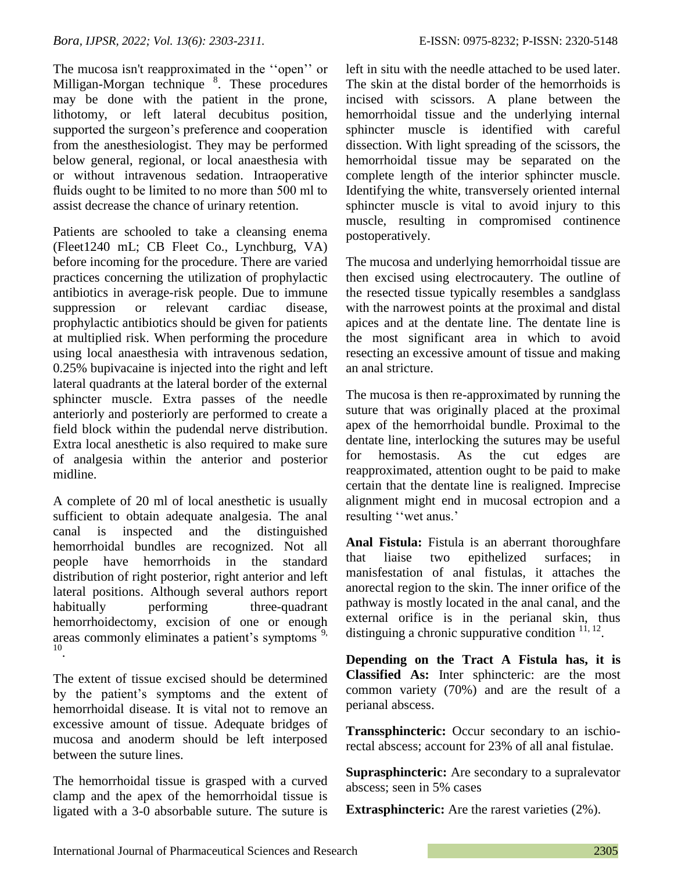The mucosa isn't reapproximated in the "open" or Milligan-Morgan technique <sup>8</sup>. These procedures may be done with the patient in the prone, lithotomy, or left lateral decubitus position, supported the surgeon's preference and cooperation from the anesthesiologist. They may be performed below general, regional, or local anaesthesia with or without intravenous sedation. Intraoperative fluids ought to be limited to no more than 500 ml to assist decrease the chance of urinary retention.

Patients are schooled to take a cleansing enema (Fleet1240 mL; CB Fleet Co., Lynchburg, VA) before incoming for the procedure. There are varied practices concerning the utilization of prophylactic antibiotics in average-risk people. Due to immune suppression or relevant cardiac disease, prophylactic antibiotics should be given for patients at multiplied risk. When performing the procedure using local anaesthesia with intravenous sedation, 0.25% bupivacaine is injected into the right and left lateral quadrants at the lateral border of the external sphincter muscle. Extra passes of the needle anteriorly and posteriorly are performed to create a field block within the pudendal nerve distribution. Extra local anesthetic is also required to make sure of analgesia within the anterior and posterior midline.

A complete of 20 ml of local anesthetic is usually sufficient to obtain adequate analgesia. The anal canal is inspected and the distinguished hemorrhoidal bundles are recognized. Not all people have hemorrhoids in the standard distribution of right posterior, right anterior and left lateral positions. Although several authors report habitually performing three-quadrant hemorrhoidectomy, excision of one or enough areas commonly eliminates a patient's symptoms<sup>9,</sup> 10 .

The extent of tissue excised should be determined by the patient"s symptoms and the extent of hemorrhoidal disease. It is vital not to remove an excessive amount of tissue. Adequate bridges of mucosa and anoderm should be left interposed between the suture lines.

The hemorrhoidal tissue is grasped with a curved clamp and the apex of the hemorrhoidal tissue is ligated with a 3-0 absorbable suture. The suture is left in situ with the needle attached to be used later. The skin at the distal border of the hemorrhoids is incised with scissors. A plane between the hemorrhoidal tissue and the underlying internal sphincter muscle is identified with careful dissection. With light spreading of the scissors, the hemorrhoidal tissue may be separated on the complete length of the interior sphincter muscle. Identifying the white, transversely oriented internal sphincter muscle is vital to avoid injury to this muscle, resulting in compromised continence postoperatively.

The mucosa and underlying hemorrhoidal tissue are then excised using electrocautery. The outline of the resected tissue typically resembles a sandglass with the narrowest points at the proximal and distal apices and at the dentate line. The dentate line is the most significant area in which to avoid resecting an excessive amount of tissue and making an anal stricture.

The mucosa is then re-approximated by running the suture that was originally placed at the proximal apex of the hemorrhoidal bundle. Proximal to the dentate line, interlocking the sutures may be useful for hemostasis. As the cut edges are reapproximated, attention ought to be paid to make certain that the dentate line is realigned. Imprecise alignment might end in mucosal ectropion and a resulting "wet anus."

**Anal Fistula:** Fistula is an aberrant thoroughfare that liaise two epithelized surfaces; in manisfestation of anal fistulas, it attaches the anorectal region to the skin. The inner orifice of the pathway is mostly located in the anal canal, and the external orifice is in the perianal skin, thus distinguing a chronic suppurative condition  $11, 12$ .

**Depending on the Tract A Fistula has, it is Classified As:** Inter sphincteric: are the most common variety (70%) and are the result of a perianal abscess.

**Transsphincteric:** Occur secondary to an ischiorectal abscess; account for 23% of all anal fistulae.

**Suprasphincteric:** Are secondary to a supralevator abscess; seen in 5% cases

**Extrasphincteric:** Are the rarest varieties (2%).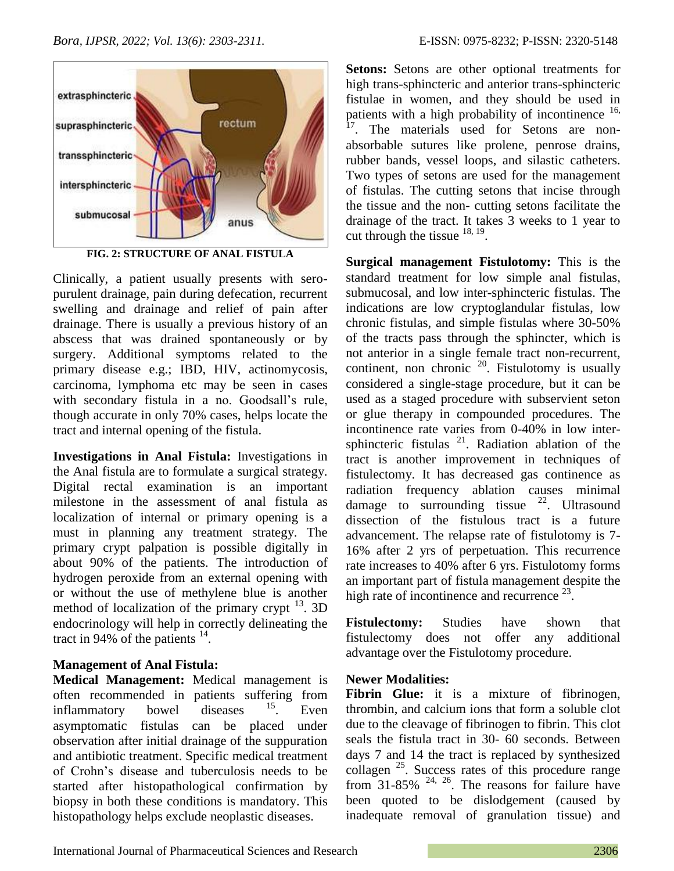

**FIG. 2: STRUCTURE OF ANAL FISTULA**

Clinically, a patient usually presents with seropurulent drainage, pain during defecation, recurrent swelling and drainage and relief of pain after drainage. There is usually a previous history of an abscess that was drained spontaneously or by surgery. Additional symptoms related to the primary disease e.g.; IBD, HIV, actinomycosis, carcinoma, lymphoma etc may be seen in cases with secondary fistula in a no. Goodsall"s rule, though accurate in only 70% cases, helps locate the tract and internal opening of the fistula.

**Investigations in Anal Fistula:** Investigations in the Anal fistula are to formulate a surgical strategy. Digital rectal examination is an important milestone in the assessment of anal fistula as localization of internal or primary opening is a must in planning any treatment strategy. The primary crypt palpation is possible digitally in about 90% of the patients. The introduction of hydrogen peroxide from an external opening with or without the use of methylene blue is another method of localization of the primary crypt  $^{13}$ . 3D endocrinology will help in correctly delineating the tract in 94% of the patients  $14$ .

## **Management of Anal Fistula:**

**Medical Management:** Medical management is often recommended in patients suffering from inflammatory bowel diseases  $15$ . Even asymptomatic fistulas can be placed under observation after initial drainage of the suppuration and antibiotic treatment. Specific medical treatment of Crohn"s disease and tuberculosis needs to be started after histopathological confirmation by biopsy in both these conditions is mandatory. This histopathology helps exclude neoplastic diseases.

**Setons:** Setons are other optional treatments for high trans-sphincteric and anterior trans-sphincteric fistulae in women, and they should be used in patients with a high probability of incontinence  $16$ , The materials used for Setons are nonabsorbable sutures like prolene, penrose drains, rubber bands, vessel loops, and silastic catheters. Two types of setons are used for the management of fistulas. The cutting setons that incise through the tissue and the non- cutting setons facilitate the drainage of the tract. It takes 3 weeks to 1 year to cut through the tissue  $^{18, 19}$ .

**Surgical management Fistulotomy:** This is the standard treatment for low simple anal fistulas, submucosal, and low inter-sphincteric fistulas. The indications are low cryptoglandular fistulas, low chronic fistulas, and simple fistulas where 30-50% of the tracts pass through the sphincter, which is not anterior in a single female tract non-recurrent, continent, non chronic  $20$ . Fistulotomy is usually considered a single-stage procedure, but it can be used as a staged procedure with subservient seton or glue therapy in compounded procedures. The incontinence rate varies from 0-40% in low intersphincteric fistulas  $21$ . Radiation ablation of the tract is another improvement in techniques of fistulectomy. It has decreased gas continence as radiation frequency ablation causes minimal damage to surrounding tissue  $^{22}$ . Ultrasound dissection of the fistulous tract is a future advancement. The relapse rate of fistulotomy is 7- 16% after 2 yrs of perpetuation. This recurrence rate increases to 40% after 6 yrs. Fistulotomy forms an important part of fistula management despite the high rate of incontinence and recurrence  $^{23}$ .

**Fistulectomy:** Studies have shown that fistulectomy does not offer any additional advantage over the Fistulotomy procedure.

## **Newer Modalities:**

**Fibrin Glue:** it is a mixture of fibrinogen, thrombin, and calcium ions that form a soluble clot due to the cleavage of fibrinogen to fibrin. This clot seals the fistula tract in 30- 60 seconds. Between days 7 and 14 the tract is replaced by synthesized collagen <sup>25</sup>. Success rates of this procedure range from  $31-85\%$  <sup>24, 26</sup>. The reasons for failure have been quoted to be dislodgement (caused by inadequate removal of granulation tissue) and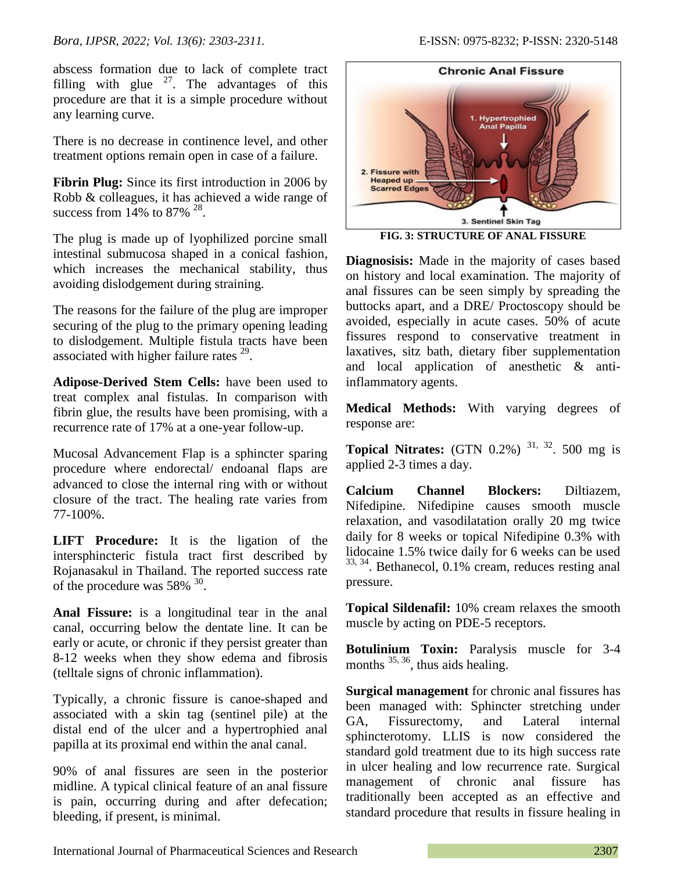abscess formation due to lack of complete tract filling with glue  $27$ . The advantages of this procedure are that it is a simple procedure without any learning curve.

There is no decrease in continence level, and other treatment options remain open in case of a failure.

**Fibrin Plug:** Since its first introduction in 2006 by Robb & colleagues, it has achieved a wide range of success from  $14\%$  to 87% <sup>28</sup>.

The plug is made up of lyophilized porcine small intestinal submucosa shaped in a conical fashion, which increases the mechanical stability, thus avoiding dislodgement during straining.

The reasons for the failure of the plug are improper securing of the plug to the primary opening leading to dislodgement. Multiple fistula tracts have been associated with higher failure rates  $29$ .

**Adipose-Derived Stem Cells:** have been used to treat complex anal fistulas. In comparison with fibrin glue, the results have been promising, with a recurrence rate of 17% at a one-year follow-up.

Mucosal Advancement Flap is a sphincter sparing procedure where endorectal/ endoanal flaps are advanced to close the internal ring with or without closure of the tract. The healing rate varies from 77-100%.

**LIFT Procedure:** It is the ligation of the intersphincteric fistula tract first described by Rojanasakul in Thailand. The reported success rate of the procedure was  $58\%$ <sup>30</sup>.

**Anal Fissure:** is a longitudinal tear in the anal canal, occurring below the dentate line. It can be early or acute, or chronic if they persist greater than 8-12 weeks when they show edema and fibrosis (telltale signs of chronic inflammation).

Typically, a chronic fissure is canoe-shaped and associated with a skin tag (sentinel pile) at the distal end of the ulcer and a hypertrophied anal papilla at its proximal end within the anal canal.

90% of anal fissures are seen in the posterior midline. A typical clinical feature of an anal fissure is pain, occurring during and after defecation; bleeding, if present, is minimal.



**FIG. 3: STRUCTURE OF ANAL FISSURE**

**Diagnosisis:** Made in the majority of cases based on history and local examination. The majority of anal fissures can be seen simply by spreading the buttocks apart, and a DRE/ Proctoscopy should be avoided, especially in acute cases. 50% of acute fissures respond to conservative treatment in laxatives, sitz bath, dietary fiber supplementation and local application of anesthetic & antiinflammatory agents.

**Medical Methods:** With varying degrees of response are:

**Topical Nitrates:** (GTN 0.2%) <sup>31, 32</sup>. 500 mg is applied 2-3 times a day.

**Calcium Channel Blockers:** Diltiazem, Nifedipine. Nifedipine causes smooth muscle relaxation, and vasodilatation orally 20 mg twice daily for 8 weeks or topical Nifedipine 0.3% with lidocaine 1.5% twice daily for 6 weeks can be used 33, 34. Bethanecol, 0.1% cream, reduces resting anal pressure.

**Topical Sildenafil:** 10% cream relaxes the smooth muscle by acting on PDE-5 receptors.

**Botulinium Toxin:** Paralysis muscle for 3-4 months  $^{35, 36}$ , thus aids healing.

**Surgical management** for chronic anal fissures has been managed with: Sphincter stretching under GA, Fissurectomy, and Lateral internal sphincterotomy. LLIS is now considered the standard gold treatment due to its high success rate in ulcer healing and low recurrence rate. Surgical management of chronic anal fissure has traditionally been accepted as an effective and standard procedure that results in fissure healing in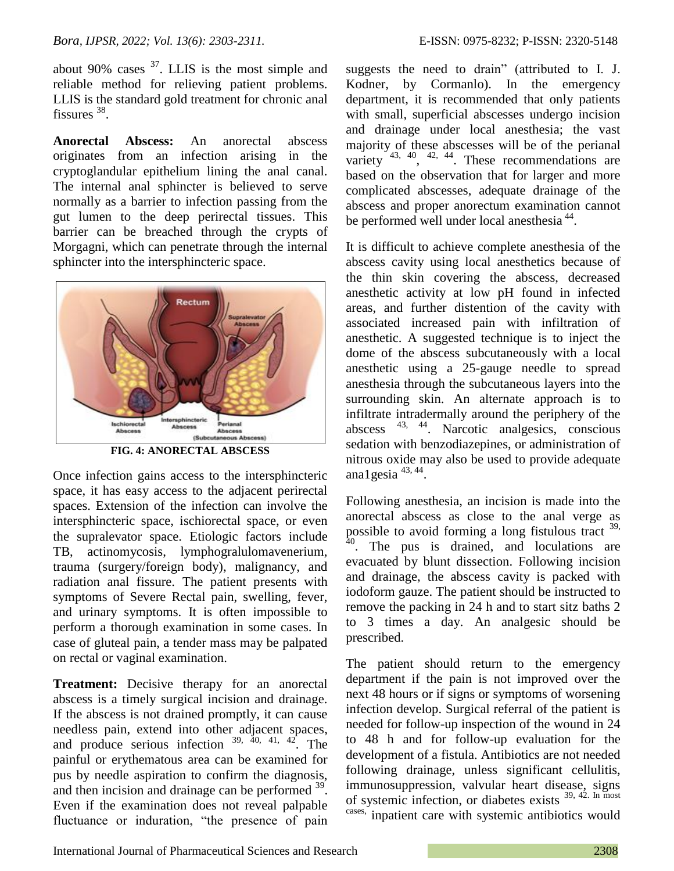about 90% cases  $37$ . LLIS is the most simple and reliable method for relieving patient problems. LLIS is the standard gold treatment for chronic anal fissures<sup>38</sup>.

**Anorectal Abscess:** An anorectal abscess originates from an infection arising in the cryptoglandular epithelium lining the anal canal. The internal anal sphincter is believed to serve normally as a barrier to infection passing from the gut lumen to the deep perirectal tissues. This barrier can be breached through the crypts of Morgagni, which can penetrate through the internal sphincter into the intersphincteric space.



**FIG. 4: ANORECTAL ABSCESS**

Once infection gains access to the intersphincteric space, it has easy access to the adjacent perirectal spaces. Extension of the infection can involve the intersphincteric space, ischiorectal space, or even the supralevator space. Etiologic factors include TB, actinomycosis, lymphogralulomavenerium, trauma (surgery/foreign body), malignancy, and radiation anal fissure. The patient presents with symptoms of Severe Rectal pain, swelling, fever, and urinary symptoms. It is often impossible to perform a thorough examination in some cases. In case of gluteal pain, a tender mass may be palpated on rectal or vaginal examination.

**Treatment:** Decisive therapy for an anorectal abscess is a timely surgical incision and drainage. If the abscess is not drained promptly, it can cause needless pain, extend into other adjacent spaces, and produce serious infection  $39, 40, 41, 42$ . The painful or erythematous area can be examined for pus by needle aspiration to confirm the diagnosis, and then incision and drainage can be performed <sup>39</sup>. Even if the examination does not reveal palpable fluctuance or induration, "the presence of pain

suggests the need to drain" (attributed to I. J. Kodner, by Cormanlo). In the emergency department, it is recommended that only patients with small, superficial abscesses undergo incision and drainage under local anesthesia; the vast majority of these abscesses will be of the perianal variety  $43, 40, 42, 44$ . These recommendations are based on the observation that for larger and more complicated abscesses, adequate drainage of the abscess and proper anorectum examination cannot be performed well under local anesthesia<sup>44</sup>.

It is difficult to achieve complete anesthesia of the abscess cavity using local anesthetics because of the thin skin covering the abscess, decreased anesthetic activity at low pH found in infected areas, and further distention of the cavity with associated increased pain with infiltration of anesthetic. A suggested technique is to inject the dome of the abscess subcutaneously with a local anesthetic using a 25-gauge needle to spread anesthesia through the subcutaneous layers into the surrounding skin. An alternate approach is to infiltrate intradermally around the periphery of the abscess 43, 44 . Narcotic analgesics, conscious sedation with benzodiazepines, or administration of nitrous oxide may also be used to provide adequate ana1gesia  $43, 44$ .

Following anesthesia, an incision is made into the anorectal abscess as close to the anal verge as possible to avoid forming a long fistulous tract <sup>39,</sup>  $40$ . The pus is drained, and loculations are evacuated by blunt dissection. Following incision and drainage, the abscess cavity is packed with iodoform gauze. The patient should be instructed to remove the packing in 24 h and to start sitz baths 2 to 3 times a day. An analgesic should be prescribed.

The patient should return to the emergency department if the pain is not improved over the next 48 hours or if signs or symptoms of worsening infection develop. Surgical referral of the patient is needed for follow-up inspection of the wound in 24 to 48 h and for follow-up evaluation for the development of a fistula. Antibiotics are not needed following drainage, unless significant cellulitis, immunosuppression, valvular heart disease, signs of systemic infection, or diabetes exists 39, 42. In most cases, inpatient care with systemic antibiotics would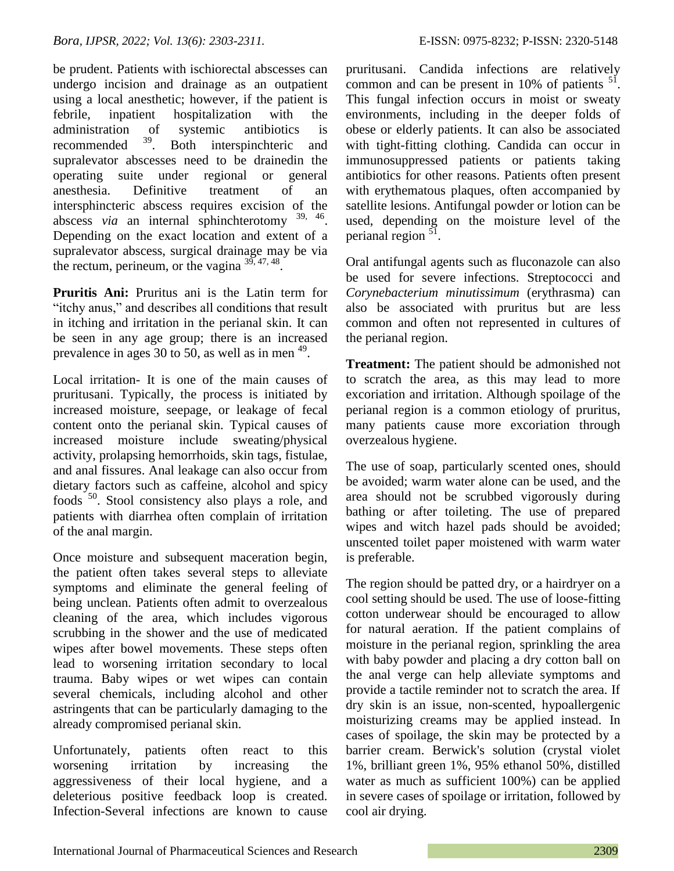be prudent. Patients with ischiorectal abscesses can undergo incision and drainage as an outpatient using a local anesthetic; however, if the patient is febrile, inpatient hospitalization with the administration of systemic antibiotics is recommended <sup>39</sup>. Both interspinchteric and supralevator abscesses need to be drainedin the operating suite under regional or general anesthesia. Definitive treatment of an intersphincteric abscess requires excision of the abscess *via* an internal sphinchterotomy <sup>39, 46</sup>. Depending on the exact location and extent of a supralevator abscess, surgical drainage may be via the rectum, perineum, or the vagina  $3^{3}$ ,  $47, 48$ .

**Pruritis Ani:** Pruritus ani is the Latin term for "itchy anus," and describes all conditions that result in itching and irritation in the perianal skin. It can be seen in any age group; there is an increased prevalence in ages 30 to 50, as well as in men  $49$ .

Local irritation- It is one of the main causes of pruritusani. Typically, the process is initiated by increased moisture, seepage, or leakage of fecal content onto the perianal skin. Typical causes of increased moisture include sweating/physical activity, prolapsing hemorrhoids, skin tags, fistulae, and anal fissures. Anal leakage can also occur from dietary factors such as caffeine, alcohol and spicy foods <sup>50</sup>. Stool consistency also plays a role, and patients with diarrhea often complain of irritation of the anal margin.

Once moisture and subsequent maceration begin, the patient often takes several steps to alleviate symptoms and eliminate the general feeling of being unclean. Patients often admit to overzealous cleaning of the area, which includes vigorous scrubbing in the shower and the use of medicated wipes after bowel movements. These steps often lead to worsening irritation secondary to local trauma. Baby wipes or wet wipes can contain several chemicals, including alcohol and other astringents that can be particularly damaging to the already compromised perianal skin.

Unfortunately, patients often react to this worsening irritation by increasing the aggressiveness of their local hygiene, and a deleterious positive feedback loop is created. Infection-Several infections are known to cause pruritusani. Candida infections are relatively common and can be present in  $10\%$  of patients  $^{51}$ . This fungal infection occurs in moist or sweaty environments, including in the deeper folds of obese or elderly patients. It can also be associated with tight-fitting clothing. Candida can occur in immunosuppressed patients or patients taking antibiotics for other reasons. Patients often present with erythematous plaques, often accompanied by satellite lesions. Antifungal powder or lotion can be used, depending on the moisture level of the perianal region <sup>51</sup>.

Oral antifungal agents such as fluconazole can also be used for severe infections. Streptococci and *Corynebacterium minutissimum* (erythrasma) can also be associated with pruritus but are less common and often not represented in cultures of the perianal region.

**Treatment:** The patient should be admonished not to scratch the area, as this may lead to more excoriation and irritation. Although spoilage of the perianal region is a common etiology of pruritus, many patients cause more excoriation through overzealous hygiene.

The use of soap, particularly scented ones, should be avoided; warm water alone can be used, and the area should not be scrubbed vigorously during bathing or after toileting. The use of prepared wipes and witch hazel pads should be avoided; unscented toilet paper moistened with warm water is preferable.

The region should be patted dry, or a hairdryer on a cool setting should be used. The use of loose-fitting cotton underwear should be encouraged to allow for natural aeration. If the patient complains of moisture in the perianal region, sprinkling the area with baby powder and placing a dry cotton ball on the anal verge can help alleviate symptoms and provide a tactile reminder not to scratch the area. If dry skin is an issue, non-scented, hypoallergenic moisturizing creams may be applied instead. In cases of spoilage, the skin may be protected by a barrier cream. Berwick's solution (crystal violet 1%, brilliant green 1%, 95% ethanol 50%, distilled water as much as sufficient 100%) can be applied in severe cases of spoilage or irritation, followed by cool air drying.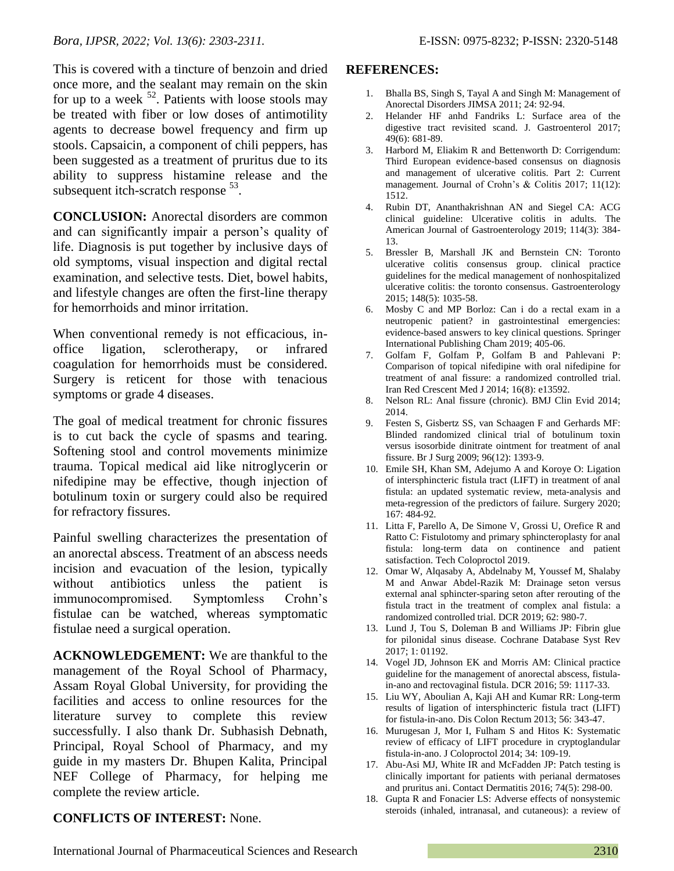This is covered with a tincture of benzoin and dried once more, and the sealant may remain on the skin for up to a week  $52$ . Patients with loose stools may be treated with fiber or low doses of antimotility agents to decrease bowel frequency and firm up stools. Capsaicin, a component of chili peppers, has been suggested as a treatment of pruritus due to its ability to suppress histamine release and the subsequent itch-scratch response <sup>53</sup>.

**CONCLUSION:** Anorectal disorders are common and can significantly impair a person's quality of life. Diagnosis is put together by inclusive days of old symptoms, visual inspection and digital rectal examination, and selective tests. Diet, bowel habits, and lifestyle changes are often the first-line therapy for hemorrhoids and minor irritation.

When conventional remedy is not efficacious, inoffice ligation, sclerotherapy, or infrared coagulation for hemorrhoids must be considered. Surgery is reticent for those with tenacious symptoms or grade 4 diseases.

The goal of medical treatment for chronic fissures is to cut back the cycle of spasms and tearing. Softening stool and control movements minimize trauma. Topical medical aid like nitroglycerin or nifedipine may be effective, though injection of botulinum toxin or surgery could also be required for refractory fissures.

Painful swelling characterizes the presentation of an anorectal abscess. Treatment of an abscess needs incision and evacuation of the lesion, typically without antibiotics unless the patient is immunocompromised. Symptomless Crohn"s fistulae can be watched, whereas symptomatic fistulae need a surgical operation.

**ACKNOWLEDGEMENT:** We are thankful to the management of the Royal School of Pharmacy, Assam Royal Global University, for providing the facilities and access to online resources for the literature survey to complete this review successfully. I also thank Dr. Subhasish Debnath, Principal, Royal School of Pharmacy, and my guide in my masters Dr. Bhupen Kalita, Principal NEF College of Pharmacy, for helping me complete the review article.

### **REFERENCES:**

- 1. Bhalla BS, Singh S, Tayal A and Singh M: Management of Anorectal Disorders JIMSA 2011; 24: 92-94.
- 2. Helander HF anhd Fandriks L: Surface area of the digestive tract revisited scand. J. Gastroenterol 2017; 49(6): 681-89.
- 3. Harbord M, Eliakim R and Bettenworth D: Corrigendum: Third European evidence-based consensus on diagnosis and management of ulcerative colitis. Part 2: Current management. Journal of Crohn's & Colitis 2017; 11(12): 1512.
- 4. Rubin DT, Ananthakrishnan AN and Siegel CA: ACG clinical guideline: Ulcerative colitis in adults. The American Journal of Gastroenterology 2019; 114(3): 384- 13.
- 5. Bressler B, Marshall JK and Bernstein CN: Toronto ulcerative colitis consensus group. clinical practice guidelines for the medical management of nonhospitalized ulcerative colitis: the toronto consensus. Gastroenterology 2015; 148(5): 1035-58.
- 6. Mosby C and MP Borloz: Can i do a rectal exam in a neutropenic patient? in gastrointestinal emergencies: evidence-based answers to key clinical questions. Springer International Publishing Cham 2019; 405-06.
- 7. Golfam F, Golfam P, Golfam B and Pahlevani P: Comparison of topical nifedipine with oral nifedipine for treatment of anal fissure: a randomized controlled trial. Iran Red Crescent Med J 2014; 16(8): e13592.
- 8. Nelson RL: Anal fissure (chronic). BMJ Clin Evid 2014; 2014.
- 9. Festen S, Gisbertz SS, van Schaagen F and Gerhards MF: Blinded randomized clinical trial of botulinum toxin versus isosorbide dinitrate ointment for treatment of anal fissure. Br J Surg 2009; 96(12): 1393-9.
- 10. Emile SH, Khan SM, Adejumo A and Koroye O: Ligation of intersphincteric fistula tract (LIFT) in treatment of anal fistula: an updated systematic review, meta-analysis and meta-regression of the predictors of failure. Surgery 2020; 167: 484-92.
- 11. Litta F, Parello A, De Simone V, Grossi U, Orefice R and Ratto C: Fistulotomy and primary sphincteroplasty for anal fistula: long-term data on continence and patient satisfaction. Tech Coloproctol 2019.
- 12. Omar W, Alqasaby A, Abdelnaby M, Youssef M, Shalaby M and Anwar Abdel-Razik M: Drainage seton versus external anal sphincter-sparing seton after rerouting of the fistula tract in the treatment of complex anal fistula: a randomized controlled trial. DCR 2019; 62: 980-7.
- 13. Lund J, Tou S, Doleman B and Williams JP: Fibrin glue for pilonidal sinus disease. Cochrane Database Syst Rev 2017; 1: 01192.
- 14. Vogel JD, Johnson EK and Morris AM: Clinical practice guideline for the management of anorectal abscess, fistulain-ano and rectovaginal fistula. DCR 2016; 59: 1117-33.
- 15. Liu WY, Aboulian A, Kaji AH and Kumar RR: Long-term results of ligation of intersphincteric fistula tract (LIFT) for fistula-in-ano. Dis Colon Rectum 2013; 56: 343-47.
- 16. Murugesan J, Mor I, Fulham S and Hitos K: Systematic review of efficacy of LIFT procedure in cryptoglandular fistula-in-ano. J Coloproctol 2014; 34: 109-19.
- 17. Abu-Asi MJ, White IR and McFadden JP: Patch testing is clinically important for patients with perianal dermatoses and pruritus ani. Contact Dermatitis 2016; 74(5): 298-00.
- 18. Gupta R and Fonacier LS: Adverse effects of nonsystemic steroids (inhaled, intranasal, and cutaneous): a review of

## **CONFLICTS OF INTEREST:** None.